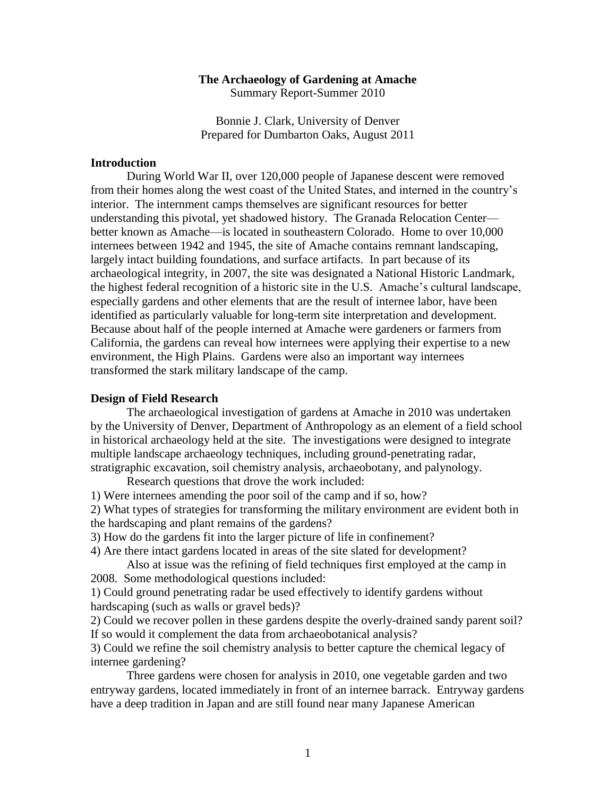# **The Archaeology of Gardening at Amache**

Summary Report-Summer 2010

Bonnie J. Clark, University of Denver Prepared for Dumbarton Oaks, August 2011

## **Introduction**

During World War II, over 120,000 people of Japanese descent were removed from their homes along the west coast of the United States, and interned in the country's interior. The internment camps themselves are significant resources for better understanding this pivotal, yet shadowed history. The Granada Relocation Center better known as Amache—is located in southeastern Colorado. Home to over 10,000 internees between 1942 and 1945, the site of Amache contains remnant landscaping, largely intact building foundations, and surface artifacts. In part because of its archaeological integrity, in 2007, the site was designated a National Historic Landmark, the highest federal recognition of a historic site in the U.S. Amache's cultural landscape, especially gardens and other elements that are the result of internee labor, have been identified as particularly valuable for long-term site interpretation and development. Because about half of the people interned at Amache were gardeners or farmers from California, the gardens can reveal how internees were applying their expertise to a new environment, the High Plains. Gardens were also an important way internees transformed the stark military landscape of the camp.

#### **Design of Field Research**

The archaeological investigation of gardens at Amache in 2010 was undertaken by the University of Denver, Department of Anthropology as an element of a field school in historical archaeology held at the site. The investigations were designed to integrate multiple landscape archaeology techniques, including ground-penetrating radar, stratigraphic excavation, soil chemistry analysis, archaeobotany, and palynology.

Research questions that drove the work included:

1) Were internees amending the poor soil of the camp and if so, how?

2) What types of strategies for transforming the military environment are evident both in the hardscaping and plant remains of the gardens?

3) How do the gardens fit into the larger picture of life in confinement?

4) Are there intact gardens located in areas of the site slated for development?

Also at issue was the refining of field techniques first employed at the camp in 2008. Some methodological questions included:

1) Could ground penetrating radar be used effectively to identify gardens without hardscaping (such as walls or gravel beds)?

2) Could we recover pollen in these gardens despite the overly-drained sandy parent soil? If so would it complement the data from archaeobotanical analysis?

3) Could we refine the soil chemistry analysis to better capture the chemical legacy of internee gardening?

Three gardens were chosen for analysis in 2010, one vegetable garden and two entryway gardens, located immediately in front of an internee barrack. Entryway gardens have a deep tradition in Japan and are still found near many Japanese American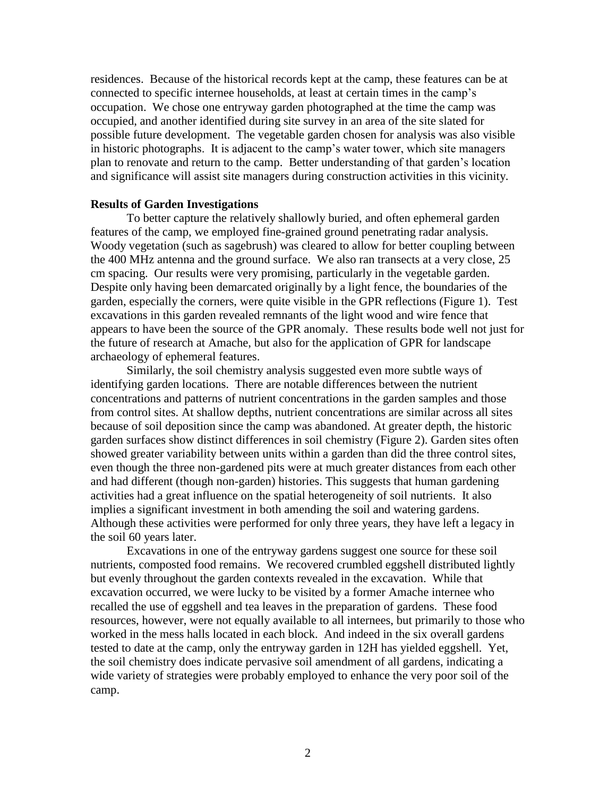residences. Because of the historical records kept at the camp, these features can be at connected to specific internee households, at least at certain times in the camp's occupation. We chose one entryway garden photographed at the time the camp was occupied, and another identified during site survey in an area of the site slated for possible future development. The vegetable garden chosen for analysis was also visible in historic photographs. It is adjacent to the camp's water tower, which site managers plan to renovate and return to the camp. Better understanding of that garden's location and significance will assist site managers during construction activities in this vicinity.

### **Results of Garden Investigations**

To better capture the relatively shallowly buried, and often ephemeral garden features of the camp, we employed fine-grained ground penetrating radar analysis. Woody vegetation (such as sagebrush) was cleared to allow for better coupling between the 400 MHz antenna and the ground surface. We also ran transects at a very close, 25 cm spacing. Our results were very promising, particularly in the vegetable garden. Despite only having been demarcated originally by a light fence, the boundaries of the garden, especially the corners, were quite visible in the GPR reflections (Figure 1). Test excavations in this garden revealed remnants of the light wood and wire fence that appears to have been the source of the GPR anomaly. These results bode well not just for the future of research at Amache, but also for the application of GPR for landscape archaeology of ephemeral features.

Similarly, the soil chemistry analysis suggested even more subtle ways of identifying garden locations. There are notable differences between the nutrient concentrations and patterns of nutrient concentrations in the garden samples and those from control sites. At shallow depths, nutrient concentrations are similar across all sites because of soil deposition since the camp was abandoned. At greater depth, the historic garden surfaces show distinct differences in soil chemistry (Figure 2). Garden sites often showed greater variability between units within a garden than did the three control sites, even though the three non-gardened pits were at much greater distances from each other and had different (though non-garden) histories. This suggests that human gardening activities had a great influence on the spatial heterogeneity of soil nutrients. It also implies a significant investment in both amending the soil and watering gardens. Although these activities were performed for only three years, they have left a legacy in the soil 60 years later.

Excavations in one of the entryway gardens suggest one source for these soil nutrients, composted food remains. We recovered crumbled eggshell distributed lightly but evenly throughout the garden contexts revealed in the excavation. While that excavation occurred, we were lucky to be visited by a former Amache internee who recalled the use of eggshell and tea leaves in the preparation of gardens. These food resources, however, were not equally available to all internees, but primarily to those who worked in the mess halls located in each block. And indeed in the six overall gardens tested to date at the camp, only the entryway garden in 12H has yielded eggshell. Yet, the soil chemistry does indicate pervasive soil amendment of all gardens, indicating a wide variety of strategies were probably employed to enhance the very poor soil of the camp.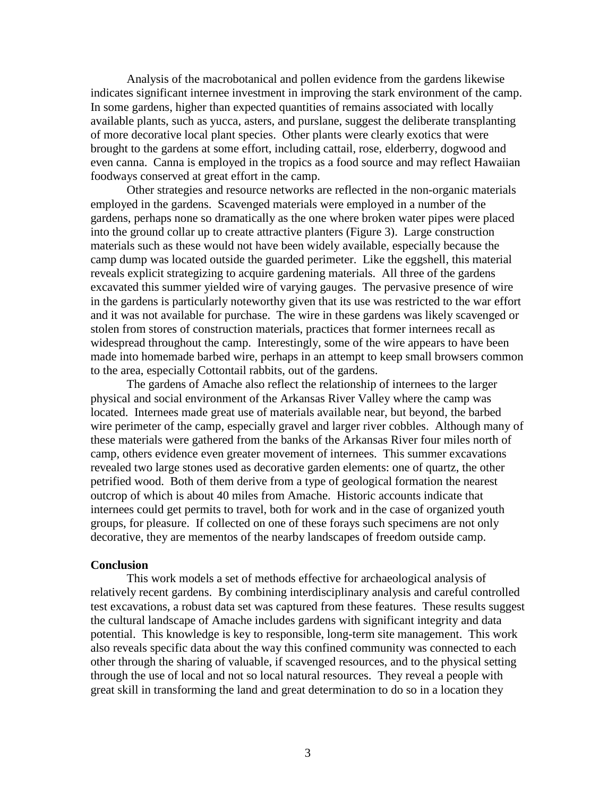Analysis of the macrobotanical and pollen evidence from the gardens likewise indicates significant internee investment in improving the stark environment of the camp. In some gardens, higher than expected quantities of remains associated with locally available plants, such as yucca, asters, and purslane, suggest the deliberate transplanting of more decorative local plant species. Other plants were clearly exotics that were brought to the gardens at some effort, including cattail, rose, elderberry, dogwood and even canna. Canna is employed in the tropics as a food source and may reflect Hawaiian foodways conserved at great effort in the camp.

Other strategies and resource networks are reflected in the non-organic materials employed in the gardens. Scavenged materials were employed in a number of the gardens, perhaps none so dramatically as the one where broken water pipes were placed into the ground collar up to create attractive planters (Figure 3). Large construction materials such as these would not have been widely available, especially because the camp dump was located outside the guarded perimeter. Like the eggshell, this material reveals explicit strategizing to acquire gardening materials. All three of the gardens excavated this summer yielded wire of varying gauges. The pervasive presence of wire in the gardens is particularly noteworthy given that its use was restricted to the war effort and it was not available for purchase. The wire in these gardens was likely scavenged or stolen from stores of construction materials, practices that former internees recall as widespread throughout the camp. Interestingly, some of the wire appears to have been made into homemade barbed wire, perhaps in an attempt to keep small browsers common to the area, especially Cottontail rabbits, out of the gardens.

The gardens of Amache also reflect the relationship of internees to the larger physical and social environment of the Arkansas River Valley where the camp was located. Internees made great use of materials available near, but beyond, the barbed wire perimeter of the camp, especially gravel and larger river cobbles. Although many of these materials were gathered from the banks of the Arkansas River four miles north of camp, others evidence even greater movement of internees. This summer excavations revealed two large stones used as decorative garden elements: one of quartz, the other petrified wood. Both of them derive from a type of geological formation the nearest outcrop of which is about 40 miles from Amache. Historic accounts indicate that internees could get permits to travel, both for work and in the case of organized youth groups, for pleasure. If collected on one of these forays such specimens are not only decorative, they are mementos of the nearby landscapes of freedom outside camp.

#### **Conclusion**

This work models a set of methods effective for archaeological analysis of relatively recent gardens. By combining interdisciplinary analysis and careful controlled test excavations, a robust data set was captured from these features. These results suggest the cultural landscape of Amache includes gardens with significant integrity and data potential. This knowledge is key to responsible, long-term site management. This work also reveals specific data about the way this confined community was connected to each other through the sharing of valuable, if scavenged resources, and to the physical setting through the use of local and not so local natural resources. They reveal a people with great skill in transforming the land and great determination to do so in a location they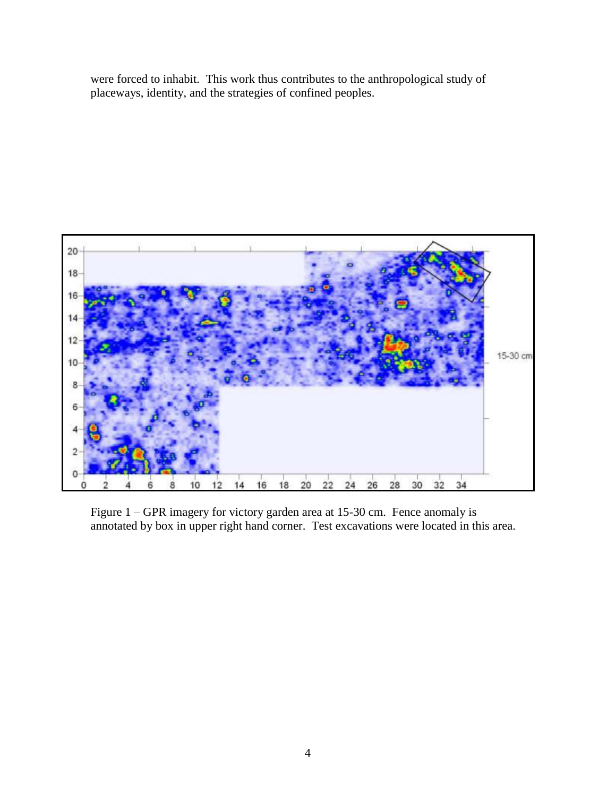were forced to inhabit. This work thus contributes to the anthropological study of placeways, identity, and the strategies of confined peoples.



Figure 1 – GPR imagery for victory garden area at 15-30 cm. Fence anomaly is annotated by box in upper right hand corner. Test excavations were located in this area.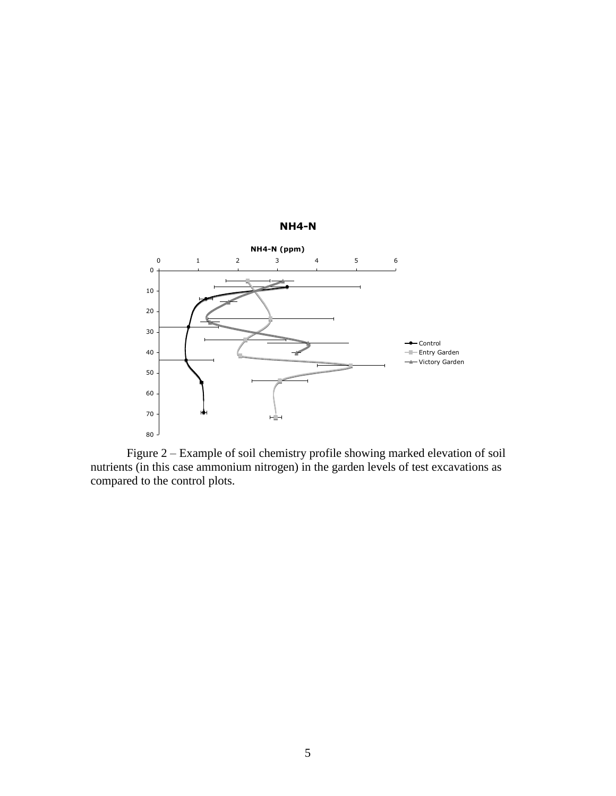

Figure 2 – Example of soil chemistry profile showing marked elevation of soil nutrients (in this case ammonium nitrogen) in the garden levels of test excavations as compared to the control plots.

### **NH4-N**